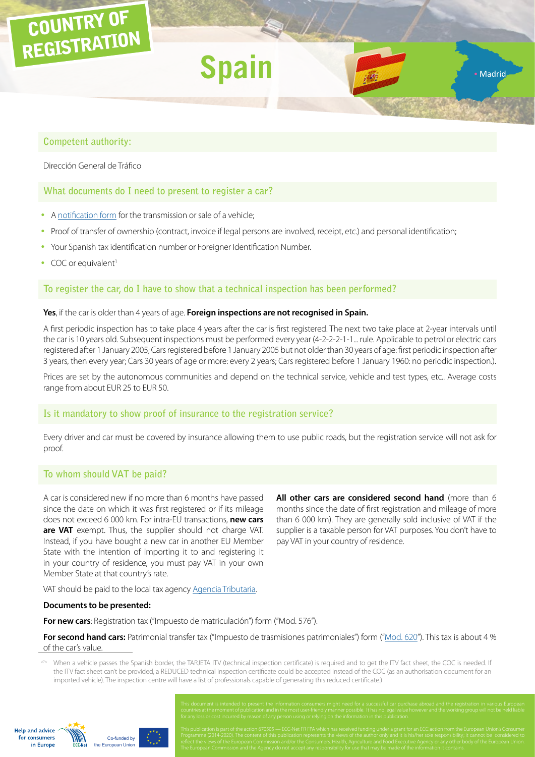# COUNTRY OF REGISTRATION

# **Competent authority:**

Dirección General de Tráfico

# **What documents do I need to present to register a car?**

- A [notification form](https://sede.dgt.gob.es/Galerias/tramites-y-multas/tu-coche/cambio-titularidad/09/09-Notificacion-venta-vehiculo-INGLES-30-12-2014.pdf) for the transmission or sale of a vehicle;
- Proof of transfer of ownership (contract, invoice if legal persons are involved, receipt, etc.) and personal identification;

**Spain**

- y Your Spanish tax identification number or Foreigner Identification Number.
- COC or equivalent<sup>1</sup>

# **To register the car, do I have to show that a technical inspection has been performed?**

#### **Yes**, if the car is older than 4 years of age. **Foreign inspections are not recognised in Spain.**

A first periodic inspection has to take place 4 years after the car is first registered. The next two take place at 2-year intervals until the car is 10 years old. Subsequent inspections must be performed every year (4-2-2-2-1-1... rule. Applicable to petrol or electric cars registered after 1 January 2005; Cars registered before 1 January 2005 but not older than 30 years of age: first periodic inspection after 3 years, then every year; Cars 30 years of age or more: every 2 years; Cars registered before 1 January 1960: no periodic inspection.).

Prices are set by the autonomous communities and depend on the technical service, vehicle and test types, etc.. Average costs range from about EUR 25 to EUR 50.

# **Is it mandatory to show proof of insurance to the registration service?**

Every driver and car must be covered by insurance allowing them to use public roads, but the registration service will not ask for proof.

# **To whom should VAT be paid?**

A car is considered new if no more than 6 months have passed since the date on which it was first registered or if its mileage does not exceed 6 000 km. For intra-EU transactions, **new cars are VAT** exempt. Thus, the supplier should not charge VAT. Instead, if you have bought a new car in another EU Member State with the intention of importing it to and registering it in your country of residence, you must pay VAT in your own Member State at that country's rate.

**All other cars are considered second hand** (more than 6 months since the date of first registration and mileage of more than 6 000 km). They are generally sold inclusive of VAT if the supplier is a taxable person for VAT purposes. You don't have to pay VAT in your country of residence.

· Madrid

VAT should be paid to the local tax agency [Agencia Tributaria](http://www.agenciatributaria.es/).

#### **Documents to be presented:**

**For new cars**: Registration tax ("Impuesto de matriculación") form ("Mod. 576").

**For second hand cars:** Patrimonial transfer tax ("Impuesto de trasmisiones patrimoniales") form (["Mod. 620"](http://www.agenciatributaria.es/static_files/AEAT/Contenidos_Comunes/La_Agencia_Tributaria/Modelos_y_formularios/Declaraciones/Resto_de_modelos/620/mod620e.pdf)). This tax is about 4 % of the car's value.

<?> When a vehicle passes the Spanish border, the TARJETA ITV (technical inspection certificate) is required and to get the ITV fact sheet, the COC is needed. If the ITV fact sheet can't be provided, a REDUCED technical inspection certificate could be accepted instead of the COC (as an authorisation document for an imported vehicle). The inspection centre will have a list of professionals capable of generating this reduced certificate.)